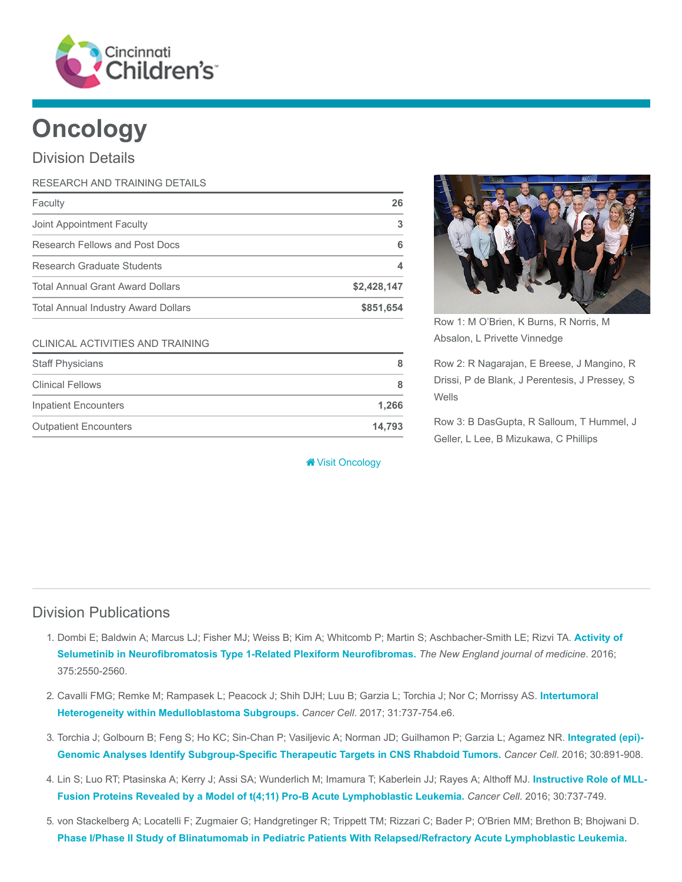

# **Oncology**

### Division Details

| RESEARCH AND TRAINING DETAILS              |             |
|--------------------------------------------|-------------|
| Faculty                                    | 26          |
| Joint Appointment Faculty                  | 3           |
| <b>Research Fellows and Post Docs</b>      | 6           |
| Research Graduate Students                 |             |
| <b>Total Annual Grant Award Dollars</b>    | \$2,428,147 |
| <b>Total Annual Industry Award Dollars</b> | \$851,654   |

#### CLINICAL ACTIVITIES AND TRAINING

| <b>Staff Physicians</b>      | 8      |
|------------------------------|--------|
| <b>Clinical Fellows</b>      | 8      |
| <b>Inpatient Encounters</b>  | 1.266  |
| <b>Outpatient Encounters</b> | 14.793 |

[Visit Oncology](https://www.cincinnatichildrens.org/research/divisions/o/oncology)



Row 1: M O'Brien, K Burns, R Norris, M Absalon, L Privette Vinnedge

Row 2: R Nagarajan, E Breese, J Mangino, R Drissi, P de Blank, J Perentesis, J Pressey, S Wells

Row 3: B DasGupta, R Salloum, T Hummel, J Geller, L Lee, B Mizukawa, C Phillips

#### Division Publications

- 1. [Dombi E; Baldwin A; Marcus LJ; Fisher MJ; Weiss B; Kim A; Whitcomb P; Martin S; Aschbacher-Smith LE; Rizvi TA.](https://www.ncbi.nlm.nih.gov/pubmed/28029918) Activity of Selumetinib in Neurofibromatosis Type 1-Related Plexiform Neurofibromas. The New England journal of medicine. 2016; 375:2550-2560.
- 2. [Cavalli FMG; Remke M; Rampasek L; Peacock J; Shih DJH; Luu B; Garzia L; Torchia J; Nor C; Morrissy AS.](https://www.ncbi.nlm.nih.gov/pubmed/28609654) Intertumoral Heterogeneity within Medulloblastoma Subgroups. Cancer Cell. 2017; 31:737-754.e6.
- 3. [Torchia J; Golbourn B; Feng S; Ho KC; Sin-Chan P; Vasiljevic A; Norman JD; Guilhamon P; Garzia L; Agamez NR.](https://www.ncbi.nlm.nih.gov/pubmed/27960086) Integrated (epi)- Genomic Analyses Identify Subgroup-Specific Therapeutic Targets in CNS Rhabdoid Tumors. Cancer Cell. 2016; 30:891-908.
- 4. [Lin S; Luo RT; Ptasinska A; Kerry J; Assi SA; Wunderlich M; Imamura T; Kaberlein JJ; Rayes A; Althoff MJ.](https://www.ncbi.nlm.nih.gov/pubmed/27846391) Instructive Role of MLL-Fusion Proteins Revealed by a Model of t(4;11) Pro-B Acute Lymphoblastic Leukemia. Cancer Cell. 2016; 30:737-749.
- 5. von Stackelberg A; Locatelli F; Zugmaier G; Handgretinger R; Trippett TM; Rizzari C; Bader P; O'Brien MM; Brethon B; Bhojwani D. [Phase I/Phase II Study of Blinatumomab in Pediatric Patients With Relapsed/Refractory Acute Lymphoblastic Leukemia.](https://www.ncbi.nlm.nih.gov/pubmed/27998223)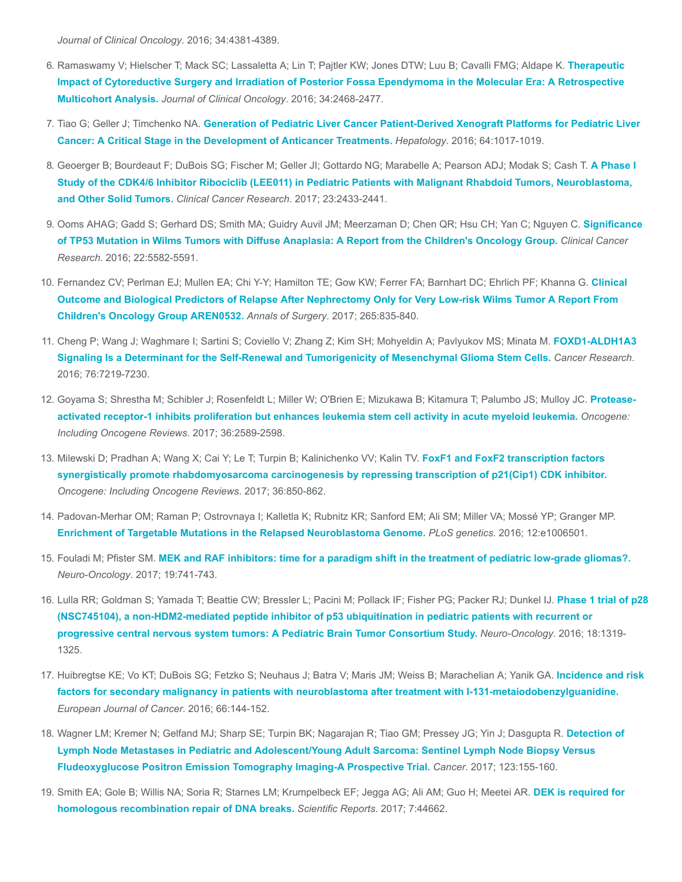Journal of Clinical Oncology. 2016; 34:4381-4389.

- 6. [Ramaswamy V; Hielscher T; Mack SC; Lassaletta A; Lin T; Pajtler KW; Jones DTW; Luu B; Cavalli FMG; Aldape K.](https://www.ncbi.nlm.nih.gov/pubmed/27269943) Therapeutic Impact of Cytoreductive Surgery and Irradiation of Posterior Fossa Ependymoma in the Molecular Era: A Retrospective Multicohort Analysis. Journal of Clinical Oncology. 2016; 34:2468-2477.
- 7. Tiao G; Geller J; Timchenko NA. [Generation of Pediatric Liver Cancer Patient-Derived Xenograft Platforms for Pediatric Liver](https://www.ncbi.nlm.nih.gov/pubmed/27359258) Cancer: A Critical Stage in the Development of Anticancer Treatments. Hepatology. 2016; 64:1017-1019.
- 8. [Geoerger B; Bourdeaut F; DuBois SG; Fischer M; Geller JI; Gottardo NG; Marabelle A; Pearson ADJ; Modak S; Cash T.](https://www.ncbi.nlm.nih.gov/pubmed/28432176) A Phase I Study of the CDK4/6 Inhibitor Ribociclib (LEE011) in Pediatric Patients with Malignant Rhabdoid Tumors, Neuroblastoma, and Other Solid Tumors. Clinical Cancer Research. 2017; 23:2433-2441.
- 9. [Ooms AHAG; Gadd S; Gerhard DS; Smith MA; Guidry Auvil JM; Meerzaman D; Chen QR; Hsu CH; Yan C; Nguyen C.](https://www.ncbi.nlm.nih.gov/pubmed/27702824) Significance of TP53 Mutation in Wilms Tumors with Diffuse Anaplasia: A Report from the Children's Oncology Group. Clinical Cancer Research. 2016; 22:5582-5591.
- 10. [Fernandez CV; Perlman EJ; Mullen EA; Chi Y-Y; Hamilton TE; Gow KW; Ferrer FA; Barnhart DC; Ehrlich PF; Khanna G.](https://www.ncbi.nlm.nih.gov/pubmed/27811504) Clinical Outcome and Biological Predictors of Relapse After Nephrectomy Only for Very Low-risk Wilms Tumor A Report From Children's Oncology Group AREN0532. Annals of Surgery. 2017; 265:835-840.
- 11. [Cheng P; Wang J; Waghmare I; Sartini S; Coviello V; Zhang Z; Kim SH; Mohyeldin A; Pavlyukov MS; Minata M.](https://www.ncbi.nlm.nih.gov/pubmed/27569208) FOXD1-ALDH1A3 Signaling Is a Determinant for the Self-Renewal and Tumorigenicity of Mesenchymal Glioma Stem Cells. Cancer Research. 2016; 76:7219-7230.
- 12. [Goyama S; Shrestha M; Schibler J; Rosenfeldt L; Miller W; O'Brien E; Mizukawa B; Kitamura T; Palumbo JS; Mulloy JC.](https://www.ncbi.nlm.nih.gov/pubmed/27819671) Proteaseactivated receptor-1 inhibits proliferation but enhances leukemia stem cell activity in acute myeloid leukemia. Oncogene: Including Oncogene Reviews. 2017; 36:2589-2598.
- 13. Milewski D; Pradhan A; Wang X; Cai Y; Le T; Turpin B; Kalinichenko VV; Kalin TV. FoxF1 and FoxF2 transcription factors [synergistically promote rhabdomyosarcoma carcinogenesis by repressing transcription of p21\(Cip1\) CDK inhibitor.](https://www.ncbi.nlm.nih.gov/pubmed/27425595) Oncogene: Including Oncogene Reviews. 2017; 36:850-862.
- 14. Padovan-Merhar OM; Raman P; Ostrovnaya I; Kalletla K; Rubnitz KR; Sanford EM; Ali SM; Miller VA; Mossé YP; Granger MP. [Enrichment of Targetable Mutations in the Relapsed Neuroblastoma Genome.](https://www.ncbi.nlm.nih.gov/pubmed/27997549) PLoS genetics. 2016; 12:e1006501.
- 15. Fouladi M; Pfister SM. [MEK and RAF inhibitors: time for a paradigm shift in the treatment of pediatric low-grade gliomas?.](https://www.ncbi.nlm.nih.gov/pubmed/28379448) Neuro-Oncology. 2017; 19:741-743.
- 16. [Lulla RR; Goldman S; Yamada T; Beattie CW; Bressler L; Pacini M; Pollack IF; Fisher PG; Packer RJ; Dunkel IJ.](https://www.ncbi.nlm.nih.gov/pubmed/27022131) Phase 1 trial of p28 (NSC745104), a non-HDM2-mediated peptide inhibitor of p53 ubiquitination in pediatric patients with recurrent or progressive central nervous system tumors: A Pediatric Brain Tumor Consortium Study. Neuro-Oncology. 2016; 18:1319- 1325.
- 17. [Huibregtse KE; Vo KT; DuBois SG; Fetzko S; Neuhaus J; Batra V; Maris JM; Weiss B; Marachelian A; Yanik GA.](https://www.ncbi.nlm.nih.gov/pubmed/27573428) Incidence and risk factors for secondary malignancy in patients with neuroblastoma after treatment with I-131-metaiodobenzylguanidine. European Journal of Cancer. 2016; 66:144-152.
- 18. [Wagner LM; Kremer N; Gelfand MJ; Sharp SE; Turpin BK; Nagarajan R; Tiao GM; Pressey JG; Yin J; Dasgupta R.](https://www.ncbi.nlm.nih.gov/pubmed/27563842) Detection of Lymph Node Metastases in Pediatric and Adolescent/Young Adult Sarcoma: Sentinel Lymph Node Biopsy Versus Fludeoxyglucose Positron Emission Tomography Imaging-A Prospective Trial. Cancer. 2017; 123:155-160.
- 19. [Smith EA; Gole B; Willis NA; Soria R; Starnes LM; Krumpelbeck EF; Jegga AG; Ali AM; Guo H; Meetei AR.](https://www.ncbi.nlm.nih.gov/pubmed/28317934) DEK is required for homologous recombination repair of DNA breaks. Scientific Reports. 2017; 7:44662.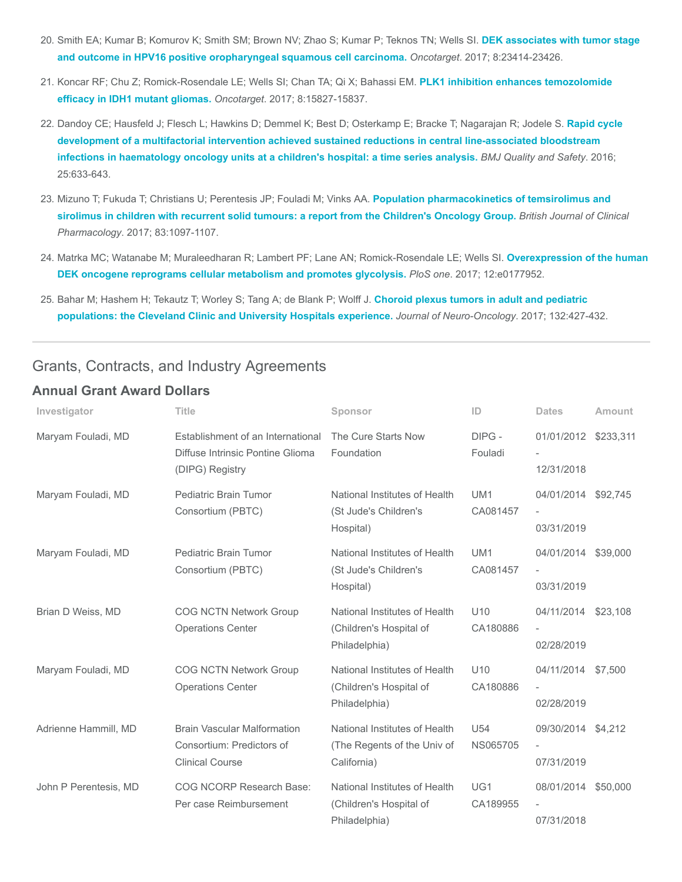- 20. [Smith EA; Kumar B; Komurov K; Smith SM; Brown NV; Zhao S; Kumar P; Teknos TN; Wells SI.](https://www.ncbi.nlm.nih.gov/pubmed/28423581) DEK associates with tumor stage and outcome in HPV16 positive oropharyngeal squamous cell carcinoma. Oncotarget. 2017; 8:23414-23426.
- 21. [Koncar RF; Chu Z; Romick-Rosendale LE; Wells SI; Chan TA; Qi X; Bahassi EM.](https://www.ncbi.nlm.nih.gov/pubmed/28178660) PLK1 inhibition enhances temozolomide efficacy in IDH1 mutant gliomas. Oncotarget. 2017; 8:15827-15837.
- 22. [Dandoy CE; Hausfeld J; Flesch L; Hawkins D; Demmel K; Best D; Osterkamp E; Bracke T; Nagarajan R; Jodele S.](https://www.ncbi.nlm.nih.gov/pubmed/26608456) Rapid cycle development of a multifactorial intervention achieved sustained reductions in central line-associated bloodstream infections in haematology oncology units at a children's hospital: a time series analysis. BMJ Quality and Safety. 2016; 25:633-643.
- 23. Mizuno T; Fukuda T; Christians U; Perentesis JP; Fouladi M; Vinks AA. Population pharmacokinetics of temsirolimus and [sirolimus in children with recurrent solid tumours: a report from the Children's Oncology Group.](https://www.ncbi.nlm.nih.gov/pubmed/28000286) British Journal of Clinical Pharmacology. 2017; 83:1097-1107.
- 24. [Matrka MC; Watanabe M; Muraleedharan R; Lambert PF; Lane AN; Romick-Rosendale LE; Wells SI.](https://www.ncbi.nlm.nih.gov/pubmed/28558019) Overexpression of the human DEK oncogene reprograms cellular metabolism and promotes glycolysis. PloS one. 2017; 12:e0177952.
- 25. [Bahar M; Hashem H; Tekautz T; Worley S; Tang A; de Blank P; Wolff J.](https://www.ncbi.nlm.nih.gov/pubmed/28290001) Choroid plexus tumors in adult and pediatric populations: the Cleveland Clinic and University Hospitals experience. Journal of Neuro-Oncology. 2017; 132:427-432.

#### Grants, Contracts, and Industry Agreements

#### Annual Grant Award Dollars

| Investigator          | <b>Title</b>                                                                              | Sponsor                                                                     | ID                          | <b>Dates</b>                                                  | Amount   |
|-----------------------|-------------------------------------------------------------------------------------------|-----------------------------------------------------------------------------|-----------------------------|---------------------------------------------------------------|----------|
| Maryam Fouladi, MD    | Establishment of an International<br>Diffuse Intrinsic Pontine Glioma<br>(DIPG) Registry  | The Cure Starts Now<br>Foundation                                           | DIPG-<br>Fouladi            | 01/01/2012 \$233,311<br>12/31/2018                            |          |
| Maryam Fouladi, MD    | <b>Pediatric Brain Tumor</b><br>Consortium (PBTC)                                         | National Institutes of Health<br>(St Jude's Children's<br>Hospital)         | UM <sub>1</sub><br>CA081457 | 04/01/2014 \$92,745<br>$\overline{\phantom{a}}$<br>03/31/2019 |          |
| Maryam Fouladi, MD    | Pediatric Brain Tumor<br>Consortium (PBTC)                                                | National Institutes of Health<br>(St Jude's Children's<br>Hospital)         | UM <sub>1</sub><br>CA081457 | 04/01/2014<br>03/31/2019                                      | \$39,000 |
| Brian D Weiss, MD     | <b>COG NCTN Network Group</b><br><b>Operations Center</b>                                 | National Institutes of Health<br>(Children's Hospital of<br>Philadelphia)   | U10<br>CA180886             | 04/11/2014<br>$\overline{\phantom{a}}$<br>02/28/2019          | \$23,108 |
| Maryam Fouladi, MD    | <b>COG NCTN Network Group</b><br><b>Operations Center</b>                                 | National Institutes of Health<br>(Children's Hospital of<br>Philadelphia)   | U <sub>10</sub><br>CA180886 | 04/11/2014 \$7,500<br>$\overline{\phantom{a}}$<br>02/28/2019  |          |
| Adrienne Hammill, MD  | <b>Brain Vascular Malformation</b><br>Consortium: Predictors of<br><b>Clinical Course</b> | National Institutes of Health<br>(The Regents of the Univ of<br>California) | U <sub>54</sub><br>NS065705 | 09/30/2014 \$4,212<br>$\overline{\phantom{a}}$<br>07/31/2019  |          |
| John P Perentesis, MD | <b>COG NCORP Research Base:</b><br>Per case Reimbursement                                 | National Institutes of Health<br>(Children's Hospital of<br>Philadelphia)   | UG1<br>CA189955             | 08/01/2014 \$50,000<br>$\overline{\phantom{a}}$<br>07/31/2018 |          |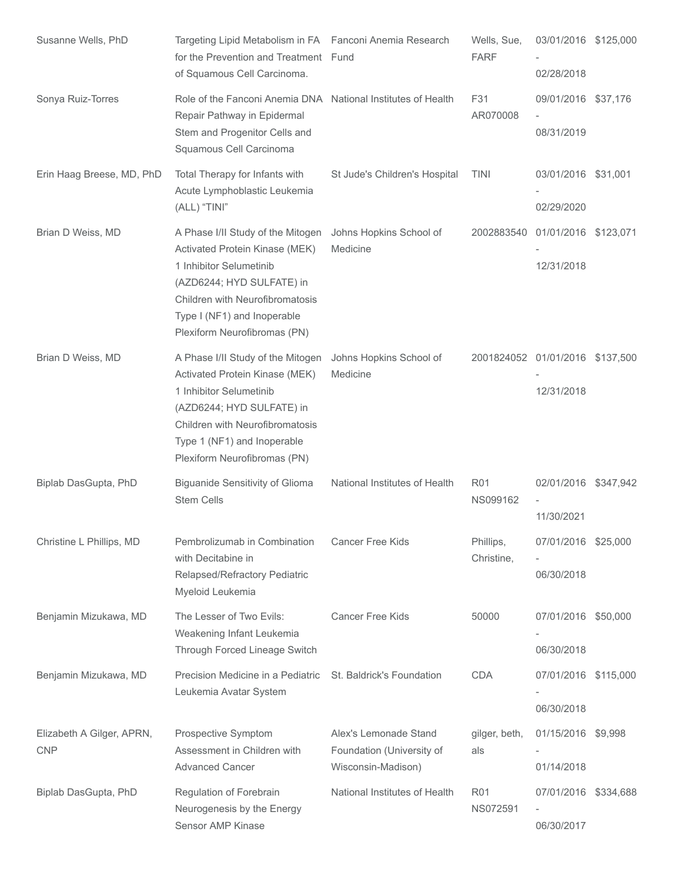| Susanne Wells, PhD                      | Targeting Lipid Metabolism in FA Fanconi Anemia Research<br>for the Prevention and Treatment Fund<br>of Squamous Cell Carcinoma.                                                                                              |                                                                          | Wells, Sue,<br><b>FARF</b>      | 03/01/2016 \$125,000<br>02/28/2018 |  |
|-----------------------------------------|-------------------------------------------------------------------------------------------------------------------------------------------------------------------------------------------------------------------------------|--------------------------------------------------------------------------|---------------------------------|------------------------------------|--|
| Sonya Ruiz-Torres                       | Role of the Fanconi Anemia DNA National Institutes of Health<br>Repair Pathway in Epidermal<br>Stem and Progenitor Cells and<br>Squamous Cell Carcinoma                                                                       |                                                                          | F31<br>AR070008                 | 09/01/2016 \$37,176<br>08/31/2019  |  |
| Erin Haag Breese, MD, PhD               | Total Therapy for Infants with<br>Acute Lymphoblastic Leukemia<br>(ALL) "TINI"                                                                                                                                                | St Jude's Children's Hospital                                            | <b>TINI</b>                     | 03/01/2016 \$31,001<br>02/29/2020  |  |
| Brian D Weiss, MD                       | A Phase I/II Study of the Mitogen<br>Activated Protein Kinase (MEK)<br>1 Inhibitor Selumetinib<br>(AZD6244; HYD SULFATE) in<br>Children with Neurofibromatosis<br>Type I (NF1) and Inoperable<br>Plexiform Neurofibromas (PN) | Johns Hopkins School of<br>Medicine                                      | 2002883540                      | 01/01/2016 \$123,071<br>12/31/2018 |  |
| Brian D Weiss, MD                       | A Phase I/II Study of the Mitogen<br>Activated Protein Kinase (MEK)<br>1 Inhibitor Selumetinib<br>(AZD6244; HYD SULFATE) in<br>Children with Neurofibromatosis<br>Type 1 (NF1) and Inoperable<br>Plexiform Neurofibromas (PN) | Johns Hopkins School of<br>Medicine                                      | 2001824052 01/01/2016 \$137,500 | 12/31/2018                         |  |
| Biplab DasGupta, PhD                    | <b>Biguanide Sensitivity of Glioma</b><br><b>Stem Cells</b>                                                                                                                                                                   | National Institutes of Health                                            | <b>R01</b><br>NS099162          | 02/01/2016 \$347,942<br>11/30/2021 |  |
| Christine L Phillips, MD                | Pembrolizumab in Combination<br>with Decitabine in<br>Relapsed/Refractory Pediatric<br>Myeloid Leukemia                                                                                                                       | Cancer Free Kids                                                         | Phillips,<br>Christine,         | 07/01/2016 \$25,000<br>06/30/2018  |  |
| Benjamin Mizukawa, MD                   | The Lesser of Two Evils:<br>Weakening Infant Leukemia<br>Through Forced Lineage Switch                                                                                                                                        | <b>Cancer Free Kids</b>                                                  | 50000                           | 07/01/2016 \$50,000<br>06/30/2018  |  |
| Benjamin Mizukawa, MD                   | Precision Medicine in a Pediatric<br>Leukemia Avatar System                                                                                                                                                                   | St. Baldrick's Foundation                                                | <b>CDA</b>                      | 07/01/2016 \$115,000<br>06/30/2018 |  |
| Elizabeth A Gilger, APRN,<br><b>CNP</b> | Prospective Symptom<br>Assessment in Children with<br><b>Advanced Cancer</b>                                                                                                                                                  | Alex's Lemonade Stand<br>Foundation (University of<br>Wisconsin-Madison) | gilger, beth,<br>als            | 01/15/2016 \$9,998<br>01/14/2018   |  |
| Biplab DasGupta, PhD                    | Regulation of Forebrain<br>Neurogenesis by the Energy<br>Sensor AMP Kinase                                                                                                                                                    | National Institutes of Health                                            | <b>R01</b><br>NS072591          | 07/01/2016 \$334,688<br>06/30/2017 |  |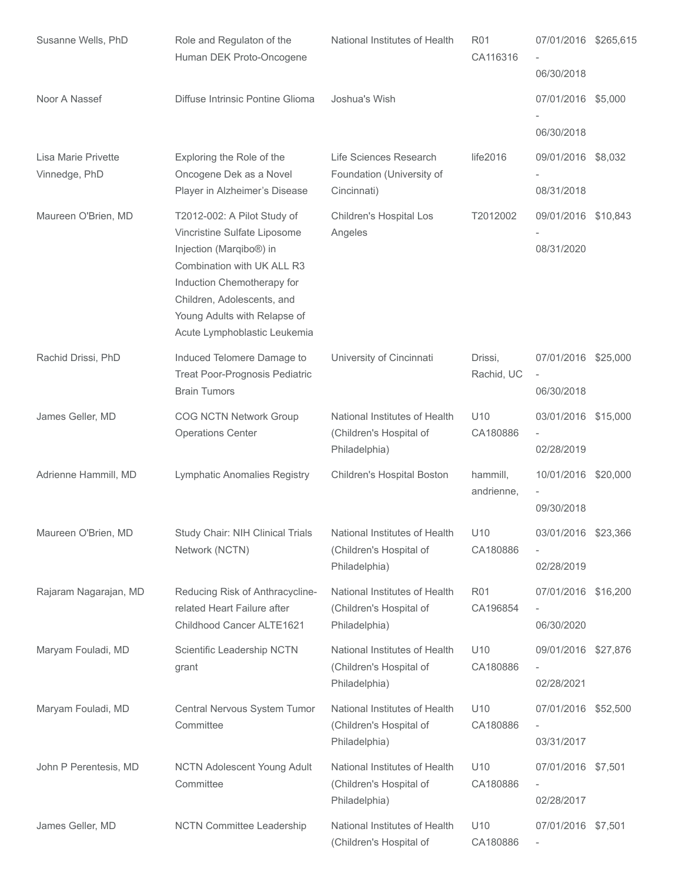| Susanne Wells, PhD                   | Role and Regulaton of the<br>Human DEK Proto-Oncogene                                                                                                                             | National Institutes of Health                                             | R <sub>01</sub><br>CA116316 | 07/01/2016 \$265,615<br>06/30/2018                            |  |
|--------------------------------------|-----------------------------------------------------------------------------------------------------------------------------------------------------------------------------------|---------------------------------------------------------------------------|-----------------------------|---------------------------------------------------------------|--|
| Noor A Nassef                        | Diffuse Intrinsic Pontine Glioma                                                                                                                                                  | Joshua's Wish                                                             |                             | 07/01/2016 \$5,000                                            |  |
|                                      |                                                                                                                                                                                   |                                                                           |                             | 06/30/2018                                                    |  |
| Lisa Marie Privette<br>Vinnedge, PhD | Exploring the Role of the<br>Oncogene Dek as a Novel<br>Player in Alzheimer's Disease                                                                                             | Life Sciences Research<br>Foundation (University of<br>Cincinnati)        | life2016                    | 09/01/2016 \$8,032<br>08/31/2018                              |  |
| Maureen O'Brien, MD                  | T2012-002: A Pilot Study of<br>Vincristine Sulfate Liposome                                                                                                                       | Children's Hospital Los<br>Angeles                                        | T2012002                    | 09/01/2016 \$10,843                                           |  |
|                                      | Injection (Marqibo®) in<br>Combination with UK ALL R3<br>Induction Chemotherapy for<br>Children, Adolescents, and<br>Young Adults with Relapse of<br>Acute Lymphoblastic Leukemia |                                                                           |                             | 08/31/2020                                                    |  |
| Rachid Drissi, PhD                   | Induced Telomere Damage to<br>Treat Poor-Prognosis Pediatric<br><b>Brain Tumors</b>                                                                                               | University of Cincinnati                                                  | Drissi,<br>Rachid, UC       | 07/01/2016 \$25,000<br>06/30/2018                             |  |
| James Geller, MD                     | <b>COG NCTN Network Group</b>                                                                                                                                                     | National Institutes of Health                                             | U <sub>10</sub>             | 03/01/2016 \$15,000                                           |  |
|                                      | <b>Operations Center</b>                                                                                                                                                          | (Children's Hospital of                                                   | CA180886                    |                                                               |  |
|                                      |                                                                                                                                                                                   | Philadelphia)                                                             |                             | 02/28/2019                                                    |  |
| Adrienne Hammill, MD                 | Lymphatic Anomalies Registry                                                                                                                                                      | Children's Hospital Boston                                                | hammill,<br>andrienne,      | 10/01/2016 \$20,000                                           |  |
|                                      |                                                                                                                                                                                   |                                                                           |                             | 09/30/2018                                                    |  |
| Maureen O'Brien, MD                  | Study Chair: NIH Clinical Trials<br>Network (NCTN)                                                                                                                                | National Institutes of Health<br>(Children's Hospital of<br>Philadelphia) | U10<br>CA180886             | 03/01/2016 \$23,366<br>$\overline{\phantom{0}}$<br>02/28/2019 |  |
| Rajaram Nagarajan, MD                | Reducing Risk of Anthracycline-                                                                                                                                                   | National Institutes of Health                                             | <b>R01</b>                  | 07/01/2016 \$16,200                                           |  |
|                                      | related Heart Failure after<br>Childhood Cancer ALTE1621                                                                                                                          | (Children's Hospital of<br>Philadelphia)                                  | CA196854                    | 06/30/2020                                                    |  |
| Maryam Fouladi, MD                   | Scientific Leadership NCTN                                                                                                                                                        | National Institutes of Health                                             | U10                         | 09/01/2016 \$27,876                                           |  |
|                                      | grant                                                                                                                                                                             | (Children's Hospital of<br>Philadelphia)                                  | CA180886                    | 02/28/2021                                                    |  |
| Maryam Fouladi, MD                   | Central Nervous System Tumor<br>Committee                                                                                                                                         | National Institutes of Health<br>(Children's Hospital of<br>Philadelphia) | U <sub>10</sub><br>CA180886 | 07/01/2016 \$52,500<br>03/31/2017                             |  |
| John P Perentesis, MD                | <b>NCTN Adolescent Young Adult</b><br>Committee                                                                                                                                   | National Institutes of Health<br>(Children's Hospital of<br>Philadelphia) | U10<br>CA180886             | 07/01/2016 \$7,501<br>$\overline{\phantom{a}}$<br>02/28/2017  |  |
| James Geller, MD                     | <b>NCTN Committee Leadership</b>                                                                                                                                                  | National Institutes of Health<br>(Children's Hospital of                  | U <sub>10</sub><br>CA180886 | 07/01/2016 \$7,501<br>$\overline{\phantom{a}}$                |  |